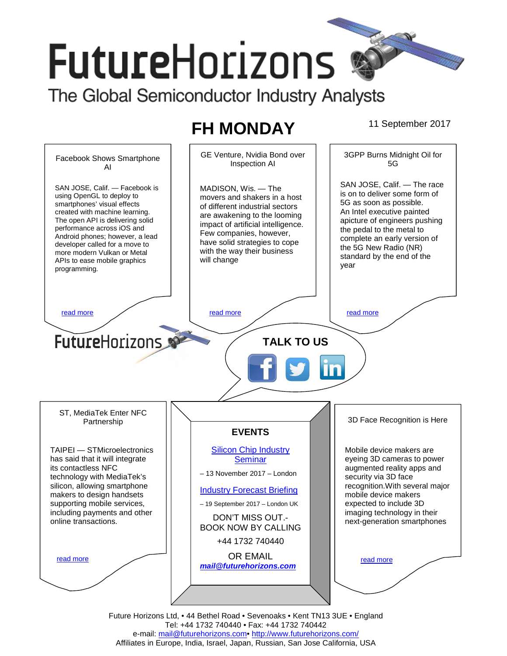# **FutureHorizons** The Global Semiconductor Industry Analysts

## **FH MONDAY** 11 September 2017



Future Horizons Ltd, • 44 Bethel Road • Sevenoaks • Kent TN13 3UE • England Tel: +44 1732 740440 • Fax: +44 1732 740442 e-mail: mail@futurehorizons.com• http://www.futurehorizons.com/ Affiliates in Europe, India, Israel, Japan, Russian, San Jose California, USA